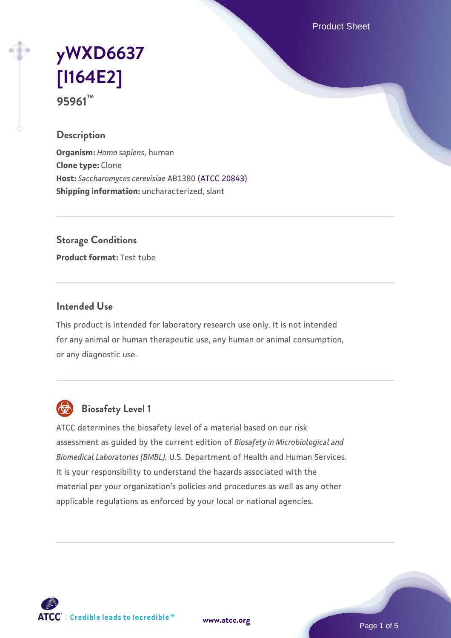Product Sheet

# **[yWXD6637](https://www.atcc.org/products/95961) [\[I164E2\]](https://www.atcc.org/products/95961) 95961™**

### **Description**

**Organism:** *Homo sapiens*, human **Clone type:** Clone **Host:** *Saccharomyces cerevisiae* AB1380 [\(ATCC 20843\)](https://www.atcc.org/products/20843) **Shipping information:** uncharacterized, slant

**Storage Conditions**

**Product format:** Test tube

#### **Intended Use**

This product is intended for laboratory research use only. It is not intended for any animal or human therapeutic use, any human or animal consumption, or any diagnostic use.



# **Biosafety Level 1**

ATCC determines the biosafety level of a material based on our risk assessment as guided by the current edition of *Biosafety in Microbiological and Biomedical Laboratories (BMBL)*, U.S. Department of Health and Human Services. It is your responsibility to understand the hazards associated with the material per your organization's policies and procedures as well as any other applicable regulations as enforced by your local or national agencies.

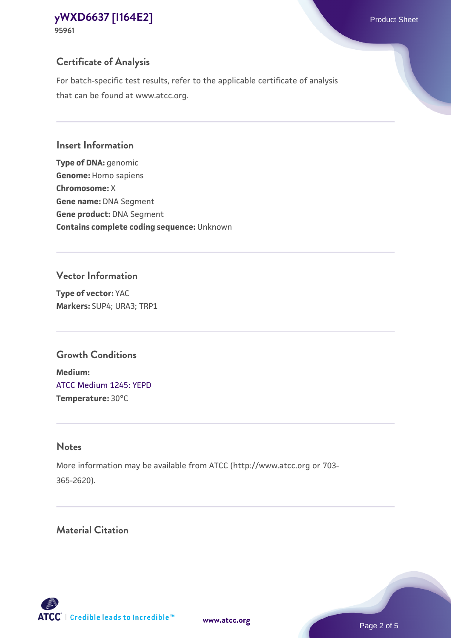### **Certificate of Analysis**

For batch-specific test results, refer to the applicable certificate of analysis that can be found at www.atcc.org.

#### **Insert Information**

**Type of DNA:** genomic **Genome:** Homo sapiens **Chromosome:** X **Gene name:** DNA Segment **Gene product:** DNA Segment **Contains complete coding sequence:** Unknown

#### **Vector Information**

**Type of vector:** YAC **Markers:** SUP4; URA3; TRP1

# **Growth Conditions**

**Medium:**  [ATCC Medium 1245: YEPD](https://www.atcc.org/-/media/product-assets/documents/microbial-media-formulations/1/2/4/5/atcc-medium-1245.pdf?rev=705ca55d1b6f490a808a965d5c072196) **Temperature:** 30°C

# **Notes**

More information may be available from ATCC (http://www.atcc.org or 703- 365-2620).

# **Material Citation**

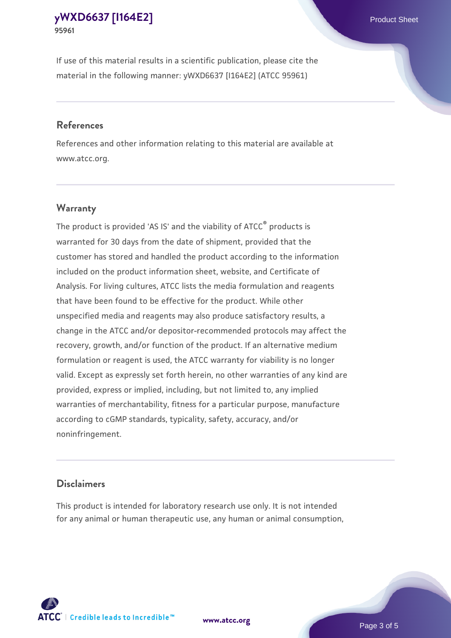If use of this material results in a scientific publication, please cite the material in the following manner: yWXD6637 [I164E2] (ATCC 95961)

#### **References**

References and other information relating to this material are available at www.atcc.org.

### **Warranty**

The product is provided 'AS IS' and the viability of  $ATCC<sup>®</sup>$  products is warranted for 30 days from the date of shipment, provided that the customer has stored and handled the product according to the information included on the product information sheet, website, and Certificate of Analysis. For living cultures, ATCC lists the media formulation and reagents that have been found to be effective for the product. While other unspecified media and reagents may also produce satisfactory results, a change in the ATCC and/or depositor-recommended protocols may affect the recovery, growth, and/or function of the product. If an alternative medium formulation or reagent is used, the ATCC warranty for viability is no longer valid. Except as expressly set forth herein, no other warranties of any kind are provided, express or implied, including, but not limited to, any implied warranties of merchantability, fitness for a particular purpose, manufacture according to cGMP standards, typicality, safety, accuracy, and/or noninfringement.

#### **Disclaimers**

This product is intended for laboratory research use only. It is not intended for any animal or human therapeutic use, any human or animal consumption,



**[www.atcc.org](http://www.atcc.org)**

Page 3 of 5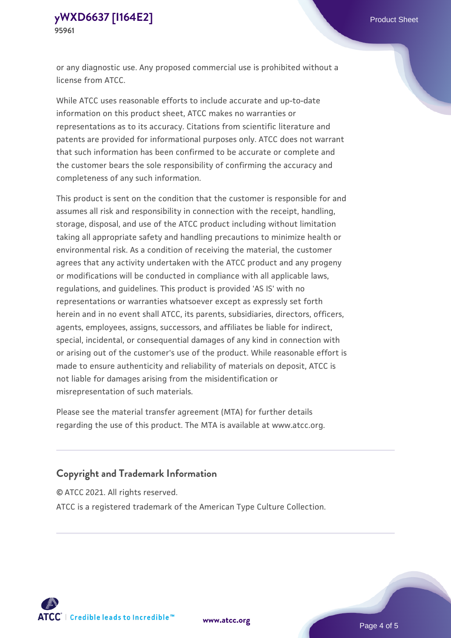or any diagnostic use. Any proposed commercial use is prohibited without a license from ATCC.

While ATCC uses reasonable efforts to include accurate and up-to-date information on this product sheet, ATCC makes no warranties or representations as to its accuracy. Citations from scientific literature and patents are provided for informational purposes only. ATCC does not warrant that such information has been confirmed to be accurate or complete and the customer bears the sole responsibility of confirming the accuracy and completeness of any such information.

This product is sent on the condition that the customer is responsible for and assumes all risk and responsibility in connection with the receipt, handling, storage, disposal, and use of the ATCC product including without limitation taking all appropriate safety and handling precautions to minimize health or environmental risk. As a condition of receiving the material, the customer agrees that any activity undertaken with the ATCC product and any progeny or modifications will be conducted in compliance with all applicable laws, regulations, and guidelines. This product is provided 'AS IS' with no representations or warranties whatsoever except as expressly set forth herein and in no event shall ATCC, its parents, subsidiaries, directors, officers, agents, employees, assigns, successors, and affiliates be liable for indirect, special, incidental, or consequential damages of any kind in connection with or arising out of the customer's use of the product. While reasonable effort is made to ensure authenticity and reliability of materials on deposit, ATCC is not liable for damages arising from the misidentification or misrepresentation of such materials.

Please see the material transfer agreement (MTA) for further details regarding the use of this product. The MTA is available at www.atcc.org.

### **Copyright and Trademark Information**

© ATCC 2021. All rights reserved.

ATCC is a registered trademark of the American Type Culture Collection.



**[www.atcc.org](http://www.atcc.org)**

Page 4 of 5